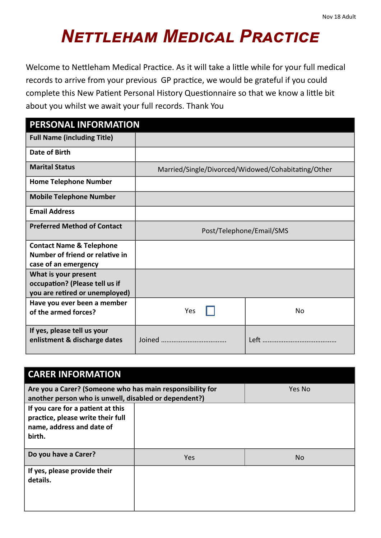## *Nettleham Medical Practice*

Welcome to Nettleham Medical Practice. As it will take a little while for your full medical records to arrive from your previous GP practice, we would be grateful if you could complete this New Patient Personal History Questionnaire so that we know a little bit about you whilst we await your full records. Thank You

| PERSONAL INFORMATION                                             |                                                    |    |
|------------------------------------------------------------------|----------------------------------------------------|----|
| <b>Full Name (including Title)</b>                               |                                                    |    |
| Date of Birth                                                    |                                                    |    |
| <b>Marital Status</b>                                            | Married/Single/Divorced/Widowed/Cohabitating/Other |    |
| <b>Home Telephone Number</b>                                     |                                                    |    |
| <b>Mobile Telephone Number</b>                                   |                                                    |    |
| <b>Email Address</b>                                             |                                                    |    |
| <b>Preferred Method of Contact</b>                               | Post/Telephone/Email/SMS                           |    |
| <b>Contact Name &amp; Telephone</b>                              |                                                    |    |
| Number of friend or relative in<br>case of an emergency          |                                                    |    |
| What is your present                                             |                                                    |    |
| occupation? (Please tell us if<br>you are retired or unemployed) |                                                    |    |
| Have you ever been a member                                      |                                                    |    |
| of the armed forces?                                             | Yes                                                | No |
| If yes, please tell us your<br>enlistment & discharge dates      |                                                    |    |

| <b>CARER INFORMATION</b>                                                                                           |     |        |
|--------------------------------------------------------------------------------------------------------------------|-----|--------|
| Are you a Carer? (Someone who has main responsibility for<br>another person who is unwell, disabled or dependent?) |     | Yes No |
| If you care for a patient at this<br>practice, please write their full<br>name, address and date of<br>birth.      |     |        |
| Do you have a Carer?                                                                                               | Yes | No.    |
| If yes, please provide their<br>details.                                                                           |     |        |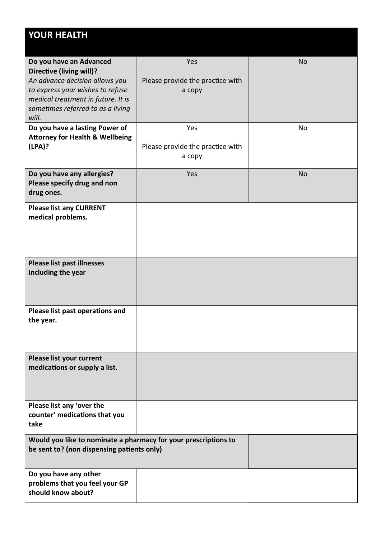| <b>YOUR HEALTH</b>                                                                                                                                                                                                   |                                                   |           |
|----------------------------------------------------------------------------------------------------------------------------------------------------------------------------------------------------------------------|---------------------------------------------------|-----------|
| Do you have an Advanced<br><b>Directive (living will)?</b><br>An advance decision allows you<br>to express your wishes to refuse<br>medical treatment in future. It is<br>sometimes referred to as a living<br>will. | Yes<br>Please provide the practice with<br>а сору | <b>No</b> |
| Do you have a lasting Power of<br><b>Attorney for Health &amp; Wellbeing</b><br>(LPA)?                                                                                                                               | Yes<br>Please provide the practice with<br>а сору | No        |
| Do you have any allergies?<br>Please specify drug and non<br>drug ones.                                                                                                                                              | Yes                                               | <b>No</b> |
| <b>Please list any CURRENT</b><br>medical problems.                                                                                                                                                                  |                                                   |           |
| <b>Please list past illnesses</b><br>including the year                                                                                                                                                              |                                                   |           |
| Please list past operations and<br>the year.                                                                                                                                                                         |                                                   |           |
| Please list your current<br>medications or supply a list.                                                                                                                                                            |                                                   |           |
| Please list any 'over the<br>counter' medications that you<br>take                                                                                                                                                   |                                                   |           |
| Would you like to nominate a pharmacy for your prescriptions to<br>be sent to? (non dispensing patients only)                                                                                                        |                                                   |           |
| Do you have any other<br>problems that you feel your GP<br>should know about?                                                                                                                                        |                                                   |           |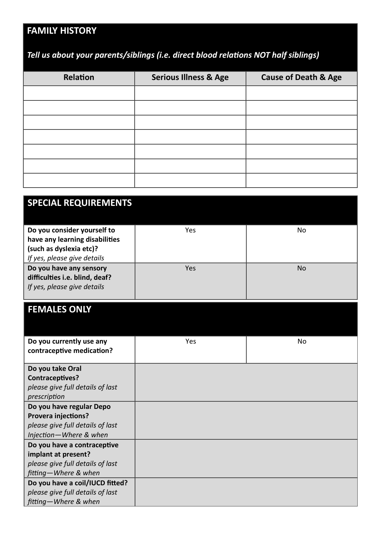## **FAMILY HISTORY**

## *Tell us about your parents/siblings (i.e. direct blood relations NOT half siblings)*

| Relation | <b>Serious Illness &amp; Age</b> | <b>Cause of Death &amp; Age</b> |
|----------|----------------------------------|---------------------------------|
|          |                                  |                                 |
|          |                                  |                                 |
|          |                                  |                                 |
|          |                                  |                                 |
|          |                                  |                                 |
|          |                                  |                                 |
|          |                                  |                                 |

| <b>SPECIAL REQUIREMENTS</b>                                                                                             |     |     |
|-------------------------------------------------------------------------------------------------------------------------|-----|-----|
| Do you consider yourself to<br>have any learning disabilities<br>(such as dyslexia etc)?<br>If yes, please give details | Yes | No  |
| Do you have any sensory<br>difficulties i.e. blind, deaf?<br>If yes, please give details                                | Yes | No. |

## **FEMALES ONLY**

| Do you currently use any         | Yes | No |
|----------------------------------|-----|----|
| contraceptive medication?        |     |    |
|                                  |     |    |
| Do you take Oral                 |     |    |
| Contraceptives?                  |     |    |
| please give full details of last |     |    |
| prescription                     |     |    |
| Do you have regular Depo         |     |    |
| <b>Provera injections?</b>       |     |    |
| please give full details of last |     |    |
| Injection-Where & when           |     |    |
| Do you have a contraceptive      |     |    |
| implant at present?              |     |    |
| please give full details of last |     |    |
| fitting-Where & when             |     |    |
| Do you have a coil/IUCD fitted?  |     |    |
| please give full details of last |     |    |
| fitting-Where & when             |     |    |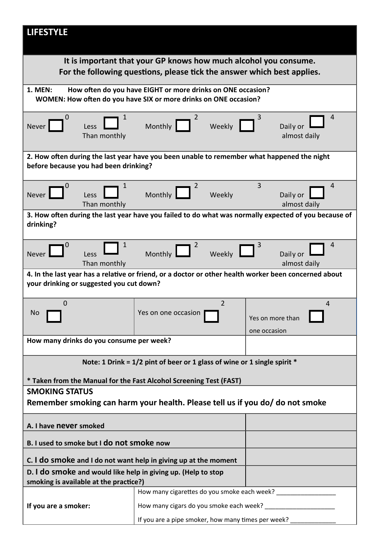| <b>LIFESTYLE</b>                                                                                                                            |                                                                                                                                 |                                                                                                      |
|---------------------------------------------------------------------------------------------------------------------------------------------|---------------------------------------------------------------------------------------------------------------------------------|------------------------------------------------------------------------------------------------------|
| It is important that your GP knows how much alcohol you consume.<br>For the following questions, please tick the answer which best applies. |                                                                                                                                 |                                                                                                      |
| <b>1. MEN:</b>                                                                                                                              | How often do you have EIGHT or more drinks on ONE occasion?<br>WOMEN: How often do you have SIX or more drinks on ONE occasion? |                                                                                                      |
| 1<br>O<br>Never <sup>1</sup><br>Less<br>Than monthly                                                                                        | 2<br>Monthly<br>Weekly                                                                                                          | 4<br>Daily or<br>almost daily                                                                        |
| before because you had been drinking?                                                                                                       | 2. How often during the last year have you been unable to remember what happened the night                                      |                                                                                                      |
| 1<br>Never<br>Less<br>Than monthly                                                                                                          | 2<br>Monthly<br>Weekly                                                                                                          | 3<br>4<br>Daily or<br>almost daily                                                                   |
| drinking?                                                                                                                                   |                                                                                                                                 | 3. How often during the last year have you failed to do what was normally expected of you because of |
| 1<br><b>Never</b><br>Less<br>Than monthly                                                                                                   | Monthly<br>Weekly                                                                                                               | 4<br>Daily or<br>almost daily                                                                        |
| your drinking or suggested you cut down?                                                                                                    | 4. In the last year has a relative or friend, or a doctor or other health worker been concerned about                           |                                                                                                      |
| $\mathbf 0$<br><b>No</b>                                                                                                                    | $\overline{2}$<br>Yes on one occasion                                                                                           | 4<br>Yes on more than<br>one occasion                                                                |
| How many drinks do you consume per week?                                                                                                    |                                                                                                                                 |                                                                                                      |
|                                                                                                                                             | Note: 1 Drink = $1/2$ pint of beer or 1 glass of wine or 1 single spirit *                                                      |                                                                                                      |
|                                                                                                                                             | * Taken from the Manual for the Fast Alcohol Screening Test (FAST)                                                              |                                                                                                      |
| <b>SMOKING STATUS</b><br>Remember smoking can harm your health. Please tell us if you do/ do not smoke                                      |                                                                                                                                 |                                                                                                      |
| A. I have never smoked                                                                                                                      |                                                                                                                                 |                                                                                                      |
| B. I used to smoke but I do not smoke now                                                                                                   |                                                                                                                                 |                                                                                                      |
| C. I do smoke and I do not want help in giving up at the moment                                                                             |                                                                                                                                 |                                                                                                      |
| D. I do smoke and would like help in giving up. (Help to stop<br>smoking is available at the practice?)                                     |                                                                                                                                 |                                                                                                      |
|                                                                                                                                             | How many cigarettes do you smoke each week?                                                                                     |                                                                                                      |
| If you are a smoker:                                                                                                                        |                                                                                                                                 |                                                                                                      |
|                                                                                                                                             | If you are a pipe smoker, how many times per week?                                                                              |                                                                                                      |